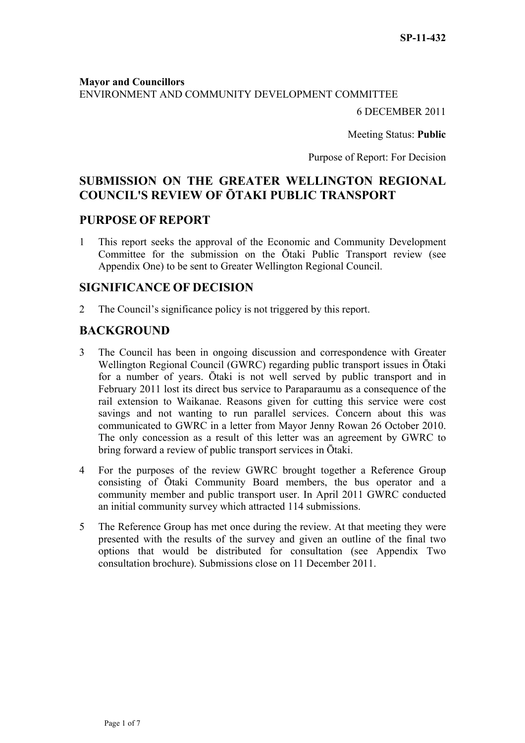#### **Mayor and Councillors**

ENVIRONMENT AND COMMUNITY DEVELOPMENT COMMITTEE

6 DECEMBER 2011

Meeting Status: **Public**

Purpose of Report: For Decision

# **SUBMISSION ON THE GREATER WELLINGTON REGIONAL COUNCIL'S REVIEW OF ŌTAKI PUBLIC TRANSPORT**

### **PURPOSE OF REPORT**

1 This report seeks the approval of the Economic and Community Development Committee for the submission on the Ōtaki Public Transport review (see Appendix One) to be sent to Greater Wellington Regional Council.

### **SIGNIFICANCE OF DECISION**

2 The Council's significance policy is not triggered by this report.

## **BACKGROUND**

- 3 The Council has been in ongoing discussion and correspondence with Greater Wellington Regional Council (GWRC) regarding public transport issues in Ōtaki for a number of years. Ōtaki is not well served by public transport and in February 2011 lost its direct bus service to Paraparaumu as a consequence of the rail extension to Waikanae. Reasons given for cutting this service were cost savings and not wanting to run parallel services. Concern about this was communicated to GWRC in a letter from Mayor Jenny Rowan 26 October 2010. The only concession as a result of this letter was an agreement by GWRC to bring forward a review of public transport services in Ōtaki.
- 4 For the purposes of the review GWRC brought together a Reference Group consisting of Ōtaki Community Board members, the bus operator and a community member and public transport user. In April 2011 GWRC conducted an initial community survey which attracted 114 submissions.
- 5 The Reference Group has met once during the review. At that meeting they were presented with the results of the survey and given an outline of the final two options that would be distributed for consultation (see Appendix Two consultation brochure). Submissions close on 11 December 2011.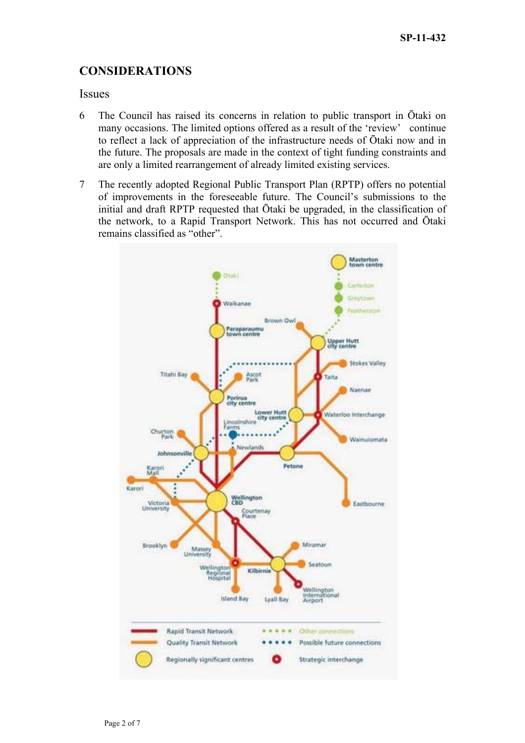## **CONSIDERATIONS**

### **Issues**

- 6 The Council has raised its concerns in relation to public transport in Ōtaki on many occasions. The limited options offered as a result of the 'review' continue to reflect a lack of appreciation of the infrastructure needs of Ōtaki now and in the future. The proposals are made in the context of tight funding constraints and are only a limited rearrangement of already limited existing services.
- 7 The recently adopted Regional Public Transport Plan (RPTP) offers no potential of improvements in the foreseeable future. The Council's submissions to the initial and draft RPTP requested that Ōtaki be upgraded, in the classification of the network, to a Rapid Transport Network. This has not occurred and Ōtaki remains classified as "other".

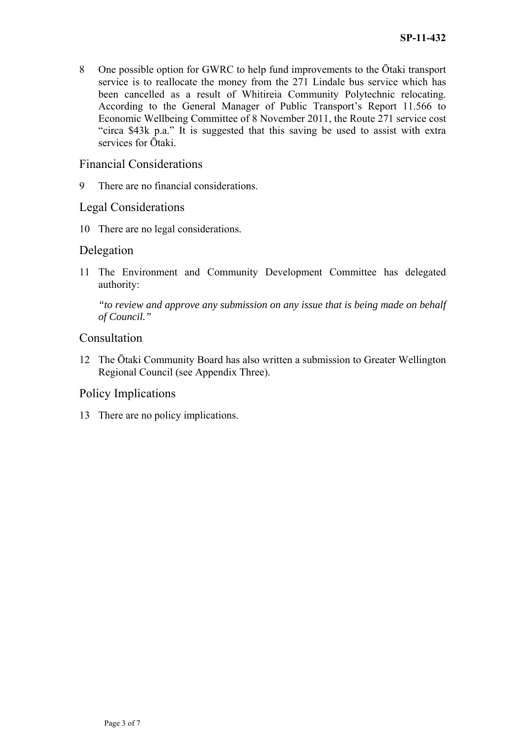8 One possible option for GWRC to help fund improvements to the Ōtaki transport service is to reallocate the money from the 271 Lindale bus service which has been cancelled as a result of Whitireia Community Polytechnic relocating. According to the General Manager of Public Transport's Report 11.566 to Economic Wellbeing Committee of 8 November 2011, the Route 271 service cost "circa \$43k p.a." It is suggested that this saving be used to assist with extra services for Ōtaki.

## Financial Considerations

9 There are no financial considerations.

## Legal Considerations

10 There are no legal considerations.

### Delegation

11 The Environment and Community Development Committee has delegated authority:

*"to review and approve any submission on any issue that is being made on behalf of Council."* 

## Consultation

12 The Ōtaki Community Board has also written a submission to Greater Wellington Regional Council (see Appendix Three).

## Policy Implications

13 There are no policy implications.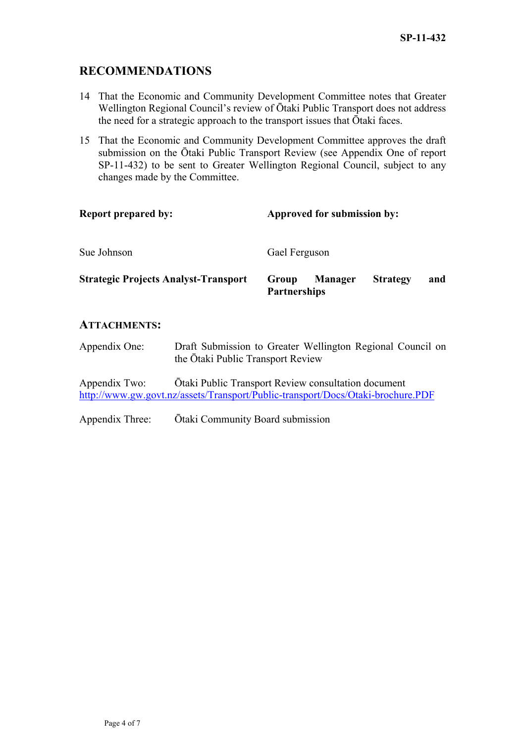## **RECOMMENDATIONS**

- 14 That the Economic and Community Development Committee notes that Greater Wellington Regional Council's review of Ōtaki Public Transport does not address the need for a strategic approach to the transport issues that Ōtaki faces.
- 15 That the Economic and Community Development Committee approves the draft submission on the Ōtaki Public Transport Review (see Appendix One of report SP-11-432) to be sent to Greater Wellington Regional Council, subject to any changes made by the Committee.

| <b>Report prepared by:</b>                  | Approved for submission by:                                              |
|---------------------------------------------|--------------------------------------------------------------------------|
| Sue Johnson                                 | Gael Ferguson                                                            |
| <b>Strategic Projects Analyst-Transport</b> | <b>Strategy</b><br><b>Manager</b><br>Group<br>and<br><b>Partnerships</b> |

### **ATTACHMENTS:**

Appendix One: Draft Submission to Greater Wellington Regional Council on the Ōtaki Public Transport Review

Appendix Two: Ōtaki Public Transport Review consultation document <http://www.gw.govt.nz/assets/Transport/Public-transport/Docs/Otaki-brochure.PDF>

Appendix Three: Ōtaki Community Board submission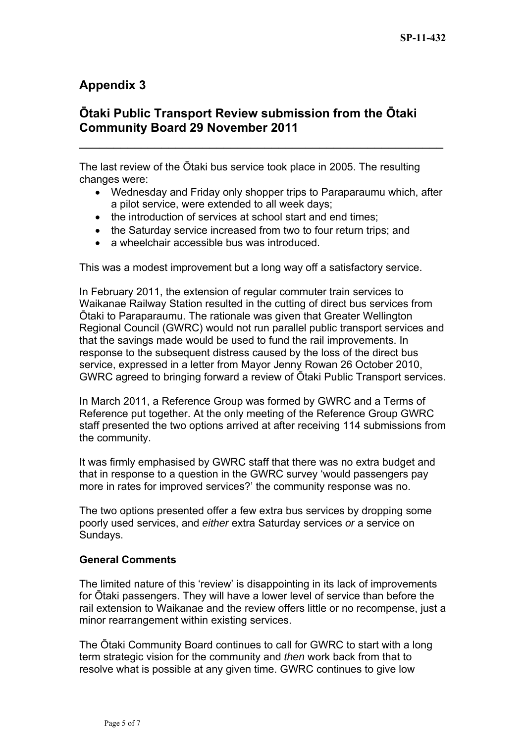# **Appendix 3**

# **Ōtaki Public Transport Review submission from the Ōtaki Community Board 29 November 2011**

 $\mathcal{L}_\text{max}$  , and the contract of the contract of the contract of the contract of the contract of the contract of the contract of the contract of the contract of the contract of the contract of the contract of the contr

The last review of the Ōtaki bus service took place in 2005. The resulting changes were:

- Wednesday and Friday only shopper trips to Paraparaumu which, after a pilot service, were extended to all week days;
- the introduction of services at school start and end times;
- the Saturday service increased from two to four return trips; and
- a wheelchair accessible bus was introduced.

This was a modest improvement but a long way off a satisfactory service.

In February 2011, the extension of regular commuter train services to Waikanae Railway Station resulted in the cutting of direct bus services from Ōtaki to Paraparaumu. The rationale was given that Greater Wellington Regional Council (GWRC) would not run parallel public transport services and that the savings made would be used to fund the rail improvements. In response to the subsequent distress caused by the loss of the direct bus service, expressed in a letter from Mayor Jenny Rowan 26 October 2010, GWRC agreed to bringing forward a review of Ōtaki Public Transport services.

In March 2011, a Reference Group was formed by GWRC and a Terms of Reference put together. At the only meeting of the Reference Group GWRC staff presented the two options arrived at after receiving 114 submissions from the community.

It was firmly emphasised by GWRC staff that there was no extra budget and that in response to a question in the GWRC survey 'would passengers pay more in rates for improved services?' the community response was no.

The two options presented offer a few extra bus services by dropping some poorly used services, and *either* extra Saturday services *or* a service on Sundays.

### **General Comments**

The limited nature of this 'review' is disappointing in its lack of improvements for Ōtaki passengers. They will have a lower level of service than before the rail extension to Waikanae and the review offers little or no recompense, just a minor rearrangement within existing services.

The Ōtaki Community Board continues to call for GWRC to start with a long term strategic vision for the community and *then* work back from that to resolve what is possible at any given time. GWRC continues to give low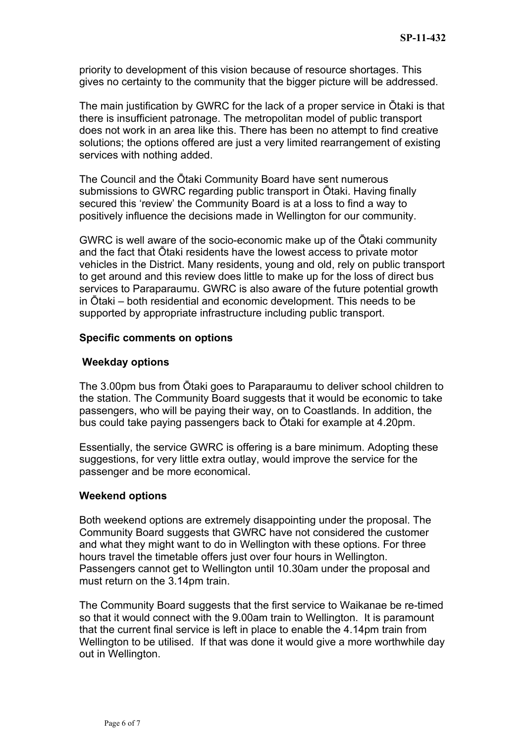priority to development of this vision because of resource shortages. This gives no certainty to the community that the bigger picture will be addressed.

The main justification by GWRC for the lack of a proper service in Ōtaki is that there is insufficient patronage. The metropolitan model of public transport does not work in an area like this. There has been no attempt to find creative solutions; the options offered are just a very limited rearrangement of existing services with nothing added.

The Council and the Ōtaki Community Board have sent numerous submissions to GWRC regarding public transport in Ōtaki. Having finally secured this 'review' the Community Board is at a loss to find a way to positively influence the decisions made in Wellington for our community.

GWRC is well aware of the socio-economic make up of the Ōtaki community and the fact that Ōtaki residents have the lowest access to private motor vehicles in the District. Many residents, young and old, rely on public transport to get around and this review does little to make up for the loss of direct bus services to Paraparaumu. GWRC is also aware of the future potential growth in Ōtaki – both residential and economic development. This needs to be supported by appropriate infrastructure including public transport.

### **Specific comments on options**

### **Weekday options**

The 3.00pm bus from Ōtaki goes to Paraparaumu to deliver school children to the station. The Community Board suggests that it would be economic to take passengers, who will be paying their way, on to Coastlands. In addition, the bus could take paying passengers back to Ōtaki for example at 4.20pm.

Essentially, the service GWRC is offering is a bare minimum. Adopting these suggestions, for very little extra outlay, would improve the service for the passenger and be more economical.

### **Weekend options**

Both weekend options are extremely disappointing under the proposal. The Community Board suggests that GWRC have not considered the customer and what they might want to do in Wellington with these options. For three hours travel the timetable offers just over four hours in Wellington. Passengers cannot get to Wellington until 10.30am under the proposal and must return on the 3.14pm train.

The Community Board suggests that the first service to Waikanae be re-timed so that it would connect with the 9.00am train to Wellington. It is paramount that the current final service is left in place to enable the 4.14pm train from Wellington to be utilised. If that was done it would give a more worthwhile day out in Wellington.